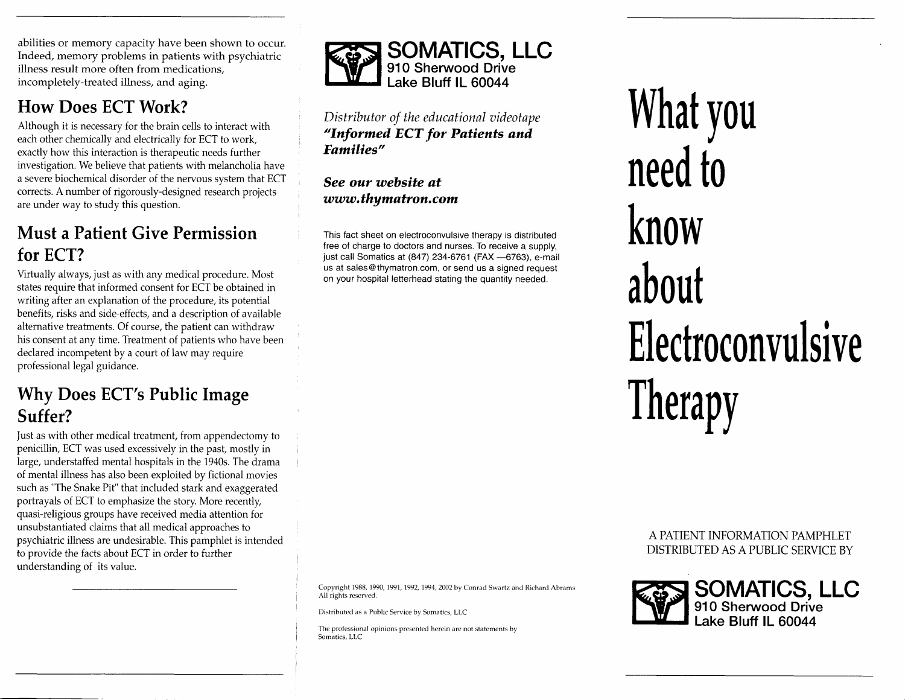abilities or memory capacity have been shown to occur. Indeed, memory problems in patients with psychiatric illness result more often from medications, incompletely-treated illness, and aging.

## How Does ECT Work?

Although it is necessary for the brain cells to interact with each other chemically and electrically for ECT to work, exactly how this interaction is therapeutic needs further investigation. We believe that patients with melancholia have a severe biochemical disorder of the nervous system that ECT corrects. A number of rigorously-designed research projects are under way to study this question.

## Must a Patient Give Permission for ECT?

Virtually always, just as with any medical procedure. Most states require that informed consent for ECT be obtained in writing after an explanation of the procedure, its potential benefits, risks and side-effects, and a description of available alternative treatments. Of course, the patient can withdraw his consent at any time. Treatment of patients who have been declared incompetent by a court of law may require professional legal guidance.

## Why Does ECT's Public Image Suffer?

just as with other medical treatment, from appendectomy to penicillin, ECT was used excessively in the past, mostly in large, understaffed mental hospitals in the 1940s. The drama of mental illness has also been exploited by fictional movies such as "The Snake Pit" that included stark and exaggerated portrayals of ECT to emphasize the story. More recently, quasi-religious groups have received media attention for unsubstantiated claims that all medical approaches to psychiatric illness are undesirable. This pamphlet is intended to provide the facts about ECT in order to further understanding of its value.



#### Distributor of the educational videotape "Informed ECT for Patients and Eamilies"

#### See our website at www.thymatron.com

This fact sheet on electroconvulsive therapy is distributed free of charge to doctors and nurses. To receive a supply, just call Somatics at (847) 234-6761 (FAX -6763), e-mail us at sales@thymatron.com, or send us a signed request on your hospital letterhead stating the quantity needed.

What you need to know about Electroconvulsive Therapy

#### A PATIENT INFORMATION PAMPHLET DISTRIBUTED AS A PUBLIC SERVICE BY



Copyright 1988, 1990, 1991, 1992, 1994, 2002 by Conrad Swartz and Richard Abrams All rights reserved.

Distributed as a Public Service by Somatics, LLC

The professional opinions presented herein are not statements by Somatics, LLC